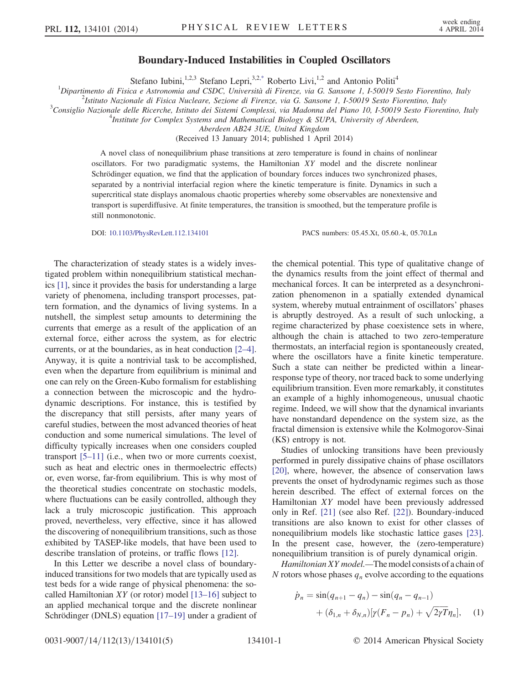## Boundary-Induced Instabilities in Coupled Oscillators

Stefano Iubini,<sup>1,2,3</sup> Stefano Lepri,<sup>3,[2,\\*](#page-3-0)</sup> Roberto Livi,<sup>1,2</sup> and Antonio Politi<sup>4</sup>

<span id="page-0-0"></span><sup>1</sup>Dipartimento di Fisica e Astronomia and CSDC, Università di Firenze, via G. Sansone 1, I-50019 Sesto Fiorentino, Italy  $\frac{2}{3}$  Lettuto Marianale di Fisica Nucleare, Sesione di Firenze, via G. Sansone 1, I-50019 Sesto

<sup>2</sup>Istituto Nazionale di Fisica Nucleare, Sezione di Firenze, via G. Sansone 1, I-50019 Sesto Fiorentino, Italy

<sup>3</sup>Consiglio Nazionale delle Ricerche, Istituto dei Sistemi Complessi, via Madonna del Piano 10, I-50019 Sesto Fiorentino, Italy

<sup>4</sup>Institute for Complex Systems and Mathematical Biology & SUPA, University of Aberdeen,

Aberdeen AB24 3UE, United Kingdom

(Received 13 January 2014; published 1 April 2014)

A novel class of nonequilibrium phase transitions at zero temperature is found in chains of nonlinear oscillators. For two paradigmatic systems, the Hamiltonian XY model and the discrete nonlinear Schrödinger equation, we find that the application of boundary forces induces two synchronized phases, separated by a nontrivial interfacial region where the kinetic temperature is finite. Dynamics in such a supercritical state displays anomalous chaotic properties whereby some observables are nonextensive and transport is superdiffusive. At finite temperatures, the transition is smoothed, but the temperature profile is still nonmonotonic.

DOI: [10.1103/PhysRevLett.112.134101](http://dx.doi.org/10.1103/PhysRevLett.112.134101) PACS numbers: 05.45.Xt, 05.60.-k, 05.70.Ln

The characterization of steady states is a widely investigated problem within nonequilibrium statistical mechanics [\[1\]](#page-3-1), since it provides the basis for understanding a large variety of phenomena, including transport processes, pattern formation, and the dynamics of living systems. In a nutshell, the simplest setup amounts to determining the currents that emerge as a result of the application of an external force, either across the system, as for electric currents, or at the boundaries, as in heat conduction [\[2](#page-3-2)–4]. Anyway, it is quite a nontrivial task to be accomplished, even when the departure from equilibrium is minimal and one can rely on the Green-Kubo formalism for establishing a connection between the microscopic and the hydrodynamic descriptions. For instance, this is testified by the discrepancy that still persists, after many years of careful studies, between the most advanced theories of heat conduction and some numerical simulations. The level of difficulty typically increases when one considers coupled transport [5–[11\]](#page-3-3) (i.e., when two or more currents coexist, such as heat and electric ones in thermoelectric effects) or, even worse, far-from equilibrium. This is why most of the theoretical studies concentrate on stochastic models, where fluctuations can be easily controlled, although they lack a truly microscopic justification. This approach proved, nevertheless, very effective, since it has allowed the discovering of nonequilibrium transitions, such as those exhibited by TASEP-like models, that have been used to describe translation of proteins, or traffic flows [\[12\].](#page-4-0)

In this Letter we describe a novel class of boundaryinduced transitions for two models that are typically used as test beds for a wide range of physical phenomena: the socalled Hamiltonian XY (or rotor) model  $[13–16]$  $[13–16]$  subject to an applied mechanical torque and the discrete nonlinear Schrödinger (DNLS) equation [\[17](#page-4-2)–19] under a gradient of the chemical potential. This type of qualitative change of the dynamics results from the joint effect of thermal and mechanical forces. It can be interpreted as a desynchronization phenomenon in a spatially extended dynamical system, whereby mutual entrainment of oscillators' phases is abruptly destroyed. As a result of such unlocking, a regime characterized by phase coexistence sets in where, although the chain is attached to two zero-temperature thermostats, an interfacial region is spontaneously created, where the oscillators have a finite kinetic temperature. Such a state can neither be predicted within a linearresponse type of theory, nor traced back to some underlying equilibrium transition. Even more remarkably, it constitutes an example of a highly inhomogeneous, unusual chaotic regime. Indeed, we will show that the dynamical invariants have nonstandard dependence on the system size, as the fractal dimension is extensive while the Kolmogorov-Sinai (KS) entropy is not.

Studies of unlocking transitions have been previously performed in purely dissipative chains of phase oscillators [\[20\]](#page-4-3), where, however, the absence of conservation laws prevents the onset of hydrodynamic regimes such as those herein described. The effect of external forces on the Hamiltonian XY model have been previously addressed only in Ref. [\[21\]](#page-4-4) (see also Ref. [\[22\]\)](#page-4-5). Boundary-induced transitions are also known to exist for other classes of nonequilibrium models like stochastic lattice gases [\[23\]](#page-4-6). In the present case, however, the (zero-temperature) nonequilibrium transition is of purely dynamical origin.

Hamiltonian XY model.—The model consists of a chain of N rotors whose phases  $q_n$  evolve according to the equations

$$
\dot{p}_n = \sin(q_{n+1} - q_n) - \sin(q_n - q_{n-1}) \n+ (\delta_{1,n} + \delta_{N,n}) [\gamma (F_n - p_n) + \sqrt{2\gamma T} \eta_n], \quad (1)
$$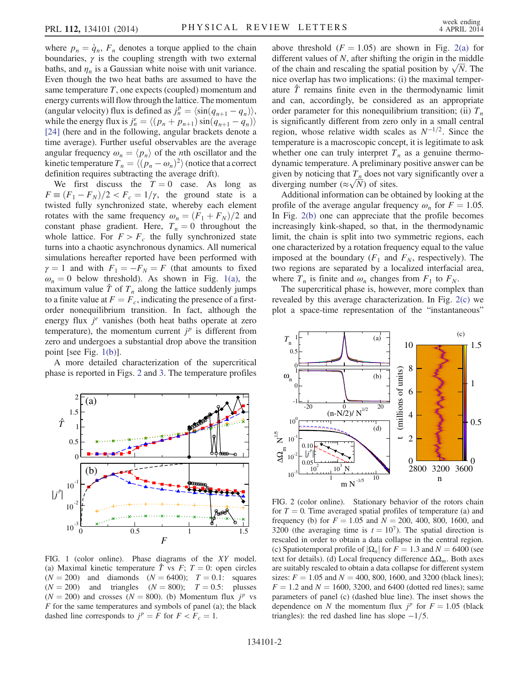where  $p_n = \dot{q}_n$ ,  $F_n$  denotes a torque applied to the chain boundaries,  $\gamma$  is the coupling strength with two external baths, and  $\eta_n$  is a Gaussian white noise with unit variance. Even though the two heat baths are assumed to have the same temperature  $T$ , one expects (coupled) momentum and energy currents will flow through the lattice. The momentum (angular velocity) flux is defined as  $j_n^p = \langle \sin(q_{n+1} - q_n) \rangle$ , while the energy flux is  $j_n^e = \langle (p_n + p_{n+1}) \sin(q_{n+1} - q_n) \rangle$ [\[24\]](#page-4-7) (here and in the following, angular brackets denote a time average). Further useful observables are the average angular frequency  $\omega_n = \langle p_n \rangle$  of the *n*th oscillator and the kinetic temperature  $T_n = \langle (p_n - \omega_n)^2 \rangle$  (notice that a correct definition requires subtracting the average drift).

We first discuss the  $T = 0$  case. As long as  $F \equiv (F_1 - F_N)/2 < F_c = 1/\gamma$ , the ground state is a twisted fully synchronized state, whereby each element rotates with the same frequency  $\omega_n = (F_1 + F_N)/2$  and constant phase gradient. Here,  $T_n = 0$  throughout the whole lattice. For  $F > F_c$  the fully synchronized state turns into a chaotic asynchronous dynamics. All numerical simulations hereafter reported have been performed with  $\gamma = 1$  and with  $F_1 = -F_N = F$  (that amounts to fixed  $\omega_n = 0$  below threshold). As shown in Fig. [1\(a\),](#page-1-0) the maximum value  $\hat{T}$  of  $T_n$  along the lattice suddenly jumps to a finite value at  $F = F_c$ , indicating the presence of a firstorder nonequilibrium transition. In fact, although the energy flux  $j^e$  vanishes (both heat baths operate at zero temperature), the momentum current  $j^p$  is different from zero and undergoes a substantial drop above the transition point [see Fig. [1\(b\)\]](#page-1-0).

A more detailed characterization of the supercritical phase is reported in Figs. [2](#page-1-1) and [3.](#page-2-0) The temperature profiles

<span id="page-1-0"></span>

FIG. 1 (color online). Phase diagrams of the XY model. (a) Maximal kinetic temperature  $\hat{T}$  vs  $F$ ;  $T = 0$ : open circles  $(N = 200)$  and diamonds  $(N = 6400)$ ;  $T = 0.1$ : squares  $(N = 200)$  and triangles  $(N = 800)$ ;  $T = 0.5$ : plusses  $(N = 200)$  and crosses  $(N = 800)$ . (b) Momentum flux  $j^p$  vs  $F$  for the same temperatures and symbols of panel (a); the black dashed line corresponds to  $j^p = F$  for  $F < F_c = 1$ .

above threshold  $(F = 1.05)$  are shown in Fig. [2\(a\)](#page-1-1) for different values of N, after shifting the origin in the middle different values of N, after shifting the origin in the middle<br>of the chain and rescaling the spatial position by  $\sqrt{N}$ . The nice overlap has two implications: (i) the maximal temperature  $\hat{T}$  remains finite even in the thermodynamic limit and can, accordingly, be considered as an appropriate order parameter for this nonequilibrium transition; (ii)  $T_n$ is significantly different from zero only in a small central region, whose relative width scales as  $N^{-1/2}$ . Since the temperature is a macroscopic concept, it is legitimate to ask whether one can truly interpret  $T_n$  as a genuine thermodynamic temperature. A preliminary positive answer can be given by noticing that  $T_n$  does not vary significantly over a given by noticing that  $T_n$  does not v<br>diverging number ( $\approx \sqrt{N}$ ) of sites.

Additional information can be obtained by looking at the profile of the average angular frequency  $\omega_n$  for  $F = 1.05$ . In Fig. [2\(b\)](#page-1-1) one can appreciate that the profile becomes increasingly kink-shaped, so that, in the thermodynamic limit, the chain is split into two symmetric regions, each one characterized by a rotation frequency equal to the value imposed at the boundary  $(F_1$  and  $F_N$ , respectively). The two regions are separated by a localized interfacial area, where  $T_n$  is finite and  $\omega_n$  changes from  $F_1$  to  $F_N$ .

The supercritical phase is, however, more complex than revealed by this average characterization. In Fig. [2\(c\)](#page-1-1) we plot a space-time representation of the "instantaneous"

<span id="page-1-1"></span>

FIG. 2 (color online). Stationary behavior of the rotors chain for  $T = 0$ . Time averaged spatial profiles of temperature (a) and frequency (b) for  $F = 1.05$  and  $N = 200, 400, 800, 1600,$  and 3200 (the averaging time is  $t = 10<sup>7</sup>$ ). The spatial direction is rescaled in order to obtain a data collapse in the central region. (c) Spatiotemporal profile of  $|\Omega_n|$  for  $F = 1.3$  and  $N = 6400$  (see text for details). (d) Local frequency difference  $\Delta\Omega_m$ . Both axes are suitably rescaled to obtain a data collapse for different system sizes:  $F = 1.05$  and  $N = 400$ , 800, 1600, and 3200 (black lines);  $F = 1.2$  and  $N = 1600, 3200,$  and 6400 (dotted red lines); same parameters of panel (c) (dashed blue line). The inset shows the dependence on N the momentum flux  $j^p$  for  $F = 1.05$  (black triangles): the red dashed line has slope  $-1/5$ .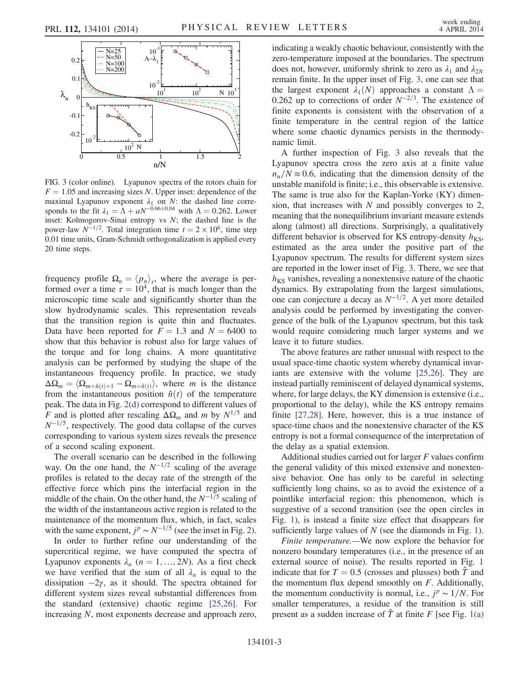<span id="page-2-0"></span>

FIG. 3 (color online). Lyapunov spectra of the rotors chain for  $F = 1.05$  and increasing sizes N. Upper inset: dependence of the maximal Lyapunov exponent  $\lambda_1$  on N: the dashed line corresponds to the fit  $\lambda_1 = \Lambda + aN^{-0.66 \pm 0.04}$  with  $\Lambda = 0.262$ . Lower inset: Kolmogorov-Sinai entropy vs  $N$ ; the dashed line is the power-law  $N^{-1/2}$ . Total integration time  $t = 2 \times 10^6$ , time step 0.01 time units, Gram-Schmidt orthogonalization is applied every 20 time steps.

frequency profile  $\Omega_n = \langle p_n \rangle_{\tau}$ , where the average is performed over a time  $\tau = 10^4$ , that is much longer than the microscopic time scale and significantly shorter than the slow hydrodynamic scales. This representation reveals that the transition region is quite thin and fluctuates. Data have been reported for  $F = 1.3$  and  $N = 6400$  to show that this behavior is robust also for large values of the torque and for long chains. A more quantitative analysis can be performed by studying the shape of the instantaneous frequency profile. In practice, we study  $\Delta\Omega_m = \langle \Omega_{m+\hat{n}(t)+1} - \Omega_{m+\hat{n}(t)} \rangle$ , where m is the distance from the instantaneous position  $\hat{n}(t)$  of the temperature peak. The data in Fig. [2\(d\)](#page-1-1) correspond to different values of F and is plotted after rescaling  $\Delta\Omega_m$  and m by  $N^{1/5}$  and  $N^{-1/5}$ , respectively. The good data collapse of the curves corresponding to various system sizes reveals the presence of a second scaling exponent.

The overall scenario can be described in the following way. On the one hand, the  $N^{-1/2}$  scaling of the average profiles is related to the decay rate of the strength of the effective force which pins the interfacial region in the middle of the chain. On the other hand, the  $N^{-1/5}$  scaling of the width of the instantaneous active region is related to the maintenance of the momentum flux, which, in fact, scales with the same exponent,  $j^p \sim N^{-1/5}$  (see the inset in Fig. [2](#page-1-1)).

In order to further refine our understanding of the supercritical regime, we have computed the spectra of Lyapunov exponents  $\lambda_n$  ( $n = 1, ..., 2N$ ). As a first check we have verified that the sum of all  $\lambda_n$  is equal to the dissipation  $-2\gamma$ , as it should. The spectra obtained for different system sizes reveal substantial differences from the standard (extensive) chaotic regime [\[25,26\]](#page-4-8). For increasing N, most exponents decrease and approach zero, indicating a weakly chaotic behaviour, consistently with the zero-temperature imposed at the boundaries. The spectrum does not, however, uniformly shrink to zero as  $\lambda_1$  and  $\lambda_{2N}$ remain finite. In the upper inset of Fig. [3](#page-2-0), one can see that the largest exponent  $\lambda_1(N)$  approaches a constant  $\Lambda =$ 0.262 up to corrections of order  $N^{-2/3}$ . The existence of finite exponents is consistent with the observation of a finite temperature in the central region of the lattice where some chaotic dynamics persists in the thermodynamic limit.

A further inspection of Fig. [3](#page-2-0) also reveals that the Lyapunov spectra cross the zero axis at a finite value  $n_{\mu}/N \approx 0.6$ , indicating that the dimension density of the unstable manifold is finite; i.e., this observable is extensive. The same is true also for the Kaplan-Yorke (KY) dimension, that increases with  $N$  and possibly converges to 2, meaning that the nonequilibrium invariant measure extends along (almost) all directions. Surprisingly, a qualitatively different behavior is observed for KS entropy-density  $h_{KS}$ , estimated as the area under the positive part of the Lyapunov spectrum. The results for different system sizes are reported in the lower inset of Fig. [3.](#page-2-0) There, we see that  $h_{KS}$  vanishes, revealing a nonextensive nature of the chaotic dynamics. By extrapolating from the largest simulations, one can conjecture a decay as  $N^{-1/2}$ . A yet more detailed analysis could be performed by investigating the convergence of the bulk of the Lyapunov spectrum, but this task would require considering much larger systems and we leave it to future studies.

The above features are rather unusual with respect to the usual space-time chaotic system whereby dynamical invariants are extensive with the volume [\[25,26\]](#page-4-8). They are instead partially reminiscent of delayed dynamical systems, where, for large delays, the KY dimension is extensive (i.e., proportional to the delay), while the KS entropy remains finite [\[27,28\]](#page-4-9). Here, however, this is a true instance of space-time chaos and the nonextensive character of the KS entropy is not a formal consequence of the interpretation of the delay as a spatial extension.

Additional studies carried out for larger F values confirm the general validity of this mixed extensive and nonextensive behavior. One has only to be careful in selecting sufficiently long chains, so as to avoid the existence of a pointlike interfacial region: this phenomenon, which is suggestive of a second transition (see the open circles in Fig. [1](#page-1-0)), is instead a finite size effect that disappears for sufficiently large values of  $N$  (see the diamonds in Fig. [1](#page-1-0)).

Finite temperature.—We now explore the behavior for nonzero boundary temperatures (i.e., in the presence of an external source of noise). The results reported in Fig. [1](#page-1-0) indicate that for  $T = 0.5$  (crosses and plusses) both  $\hat{T}$  and the momentum flux depend smoothly on  $F$ . Additionally, the momentum conductivity is normal, i.e.,  $j^p \sim 1/N$ . For smaller temperatures, a residue of the transition is still present as a sudden increase of  $\hat{T}$  at finite F [see Fig. [1\(a\)](#page-1-0)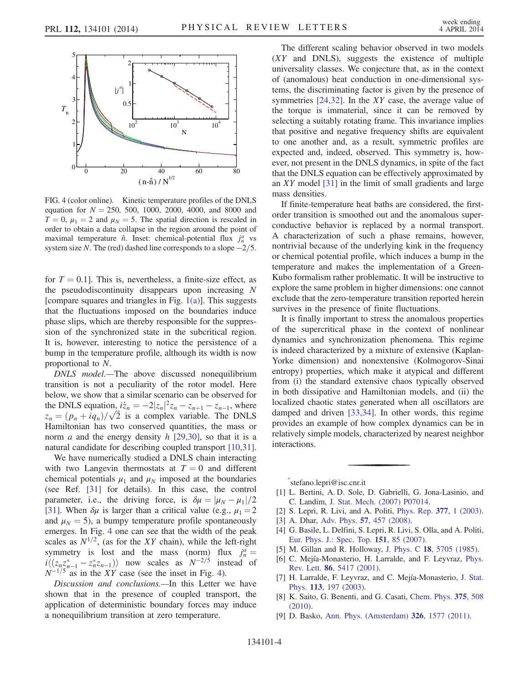<span id="page-3-4"></span>

FIG. 4 (color online). Kinetic temperature profiles of the DNLS equation for  $N = 250, 500, 1000, 2000, 4000,$  and 8000 and  $T = 0$ ,  $\mu_1 = 2$  and  $\mu_N = 5$ . The spatial direction is rescaled in order to obtain a data collapse in the region around the point of maximal temperature  $\hat{n}$ . Inset: chemical-potential flux  $j_n^a$  vs system size N. The (red) dashed line corresponds to a slope  $-2/5$ .

for  $T = 0.1$ . This is, nevertheless, a finite-size effect, as the pseudodiscontinuity disappears upon increasing  $N$ [compare squares and triangles in Fig.  $1(a)$ ]. This suggests that the fluctuations imposed on the boundaries induce phase slips, which are thereby responsible for the suppression of the synchronized state in the subcritical region. It is, however, interesting to notice the persistence of a bump in the temperature profile, although its width is now proportional to N.

DNLS model.—The above discussed nonequilibrium transition is not a peculiarity of the rotor model. Here below, we show that a similar scenario can be observed for the DNLS equation,  $i\dot{z}_n = -2|z_n|^2 z_n - z_{n+1} - z_{n-1}$ , where the DNLS equation,  $iz_n = -2|z_n|^2 z_n - z_{n+1} - z_{n-1}$ , where  $z_n = (p_n + iq_n)/\sqrt{2}$  is a complex variable. The DNLS Hamiltonian has two conserved quantities, the mass or norm *a* and the energy density *h* [\[29,30\]](#page-4-10), so that it is a natural candidate for describing coupled transport [\[10,31\]](#page-4-11).

We have numerically studied a DNLS chain interacting with two Langevin thermostats at  $T = 0$  and different chemical potentials  $\mu_1$  and  $\mu_N$  imposed at the boundaries (see Ref. [\[31\]](#page-4-12) for details). In this case, the control parameter, i.e., the driving force, is  $\delta \mu = |\mu_N - \mu_1|/2$ [\[31\]](#page-4-12). When  $\delta \mu$  is larger than a critical value (e.g.,  $\mu_1 = 2$ ) and  $\mu_N = 5$ ), a bumpy temperature profile spontaneously emerges. In Fig. [4](#page-3-4) one can see that the width of the peak scales as  $N^{1/2}$ , (as for the XY chain), while the left-right symmetry is lost and the mass (norm) flux  $j_n^a =$  $i\langle (z_n z_{n-1}^* - z_n^* z_{n-1}) \rangle$  now scales as  $N^{-2/5}$  instead of  $N^{-1/5}$  as in the XY case (see the inset in Fig. [4\)](#page-3-4).

Discussion and conclusions.—In this Letter we have shown that in the presence of coupled transport, the application of deterministic boundary forces may induce a nonequilibrium transition at zero temperature.

The different scaling behavior observed in two models  $(XY$  and DNLS), suggests the existence of multiple universality classes. We conjecture that, as in the context of (anomalous) heat conduction in one-dimensional systems, the discriminating factor is given by the presence of symmetries  $[24,32]$ . In the XY case, the average value of the torque is immaterial, since it can be removed by selecting a suitably rotating frame. This invariance implies that positive and negative frequency shifts are equivalent to one another and, as a result, symmetric profiles are expected and, indeed, observed. This symmetry is, however, not present in the DNLS dynamics, in spite of the fact that the DNLS equation can be effectively approximated by an XY model [\[31\]](#page-4-12) in the limit of small gradients and large mass densities.

If finite-temperature heat baths are considered, the firstorder transition is smoothed out and the anomalous superconductive behavior is replaced by a normal transport. A characterization of such a phase remains, however, nontrivial because of the underlying kink in the frequency or chemical potential profile, which induces a bump in the temperature and makes the implementation of a Green-Kubo formalism rather problematic. It will be instructive to explore the same problem in higher dimensions: one cannot exclude that the zero-temperature transition reported herein survives in the presence of finite fluctuations.

It is finally important to stress the anomalous properties of the supercritical phase in the context of nonlinear dynamics and synchronization phenomena. This regime is indeed characterized by a mixture of extensive (Kaplan-Yorke dimension) and nonextensive (Kolmogorov-Sinai entropy) properties, which make it atypical and different from (i) the standard extensive chaos typically observed in both dissipative and Hamiltonian models, and (ii) the localized chaotic states generated when all oscillators are damped and driven [\[33,34\]](#page-4-13). In other words, this regime provides an example of how complex dynamics can be in relatively simple models, characterized by nearest neighbor interactions.

<span id="page-3-0"></span>[\\*](#page-0-0) stefano.lepri@isc.cnr.it

- <span id="page-3-2"></span><span id="page-3-1"></span>[1] L. Bertini, A. D. Sole, D. Gabrielli, G. Jona-Lasinio, and C. Landim, [J. Stat. Mech. \(2007\) P07014.](http://dx.doi.org/10.1088/1742-5468/2007/07/P07014)
- [2] S. Lepri, R. Livi, and A. Politi, *[Phys. Rep.](http://dx.doi.org/10.1016/S0370-1573(02)00558-6)* 377, 1 (2003).
- [3] A. Dhar, Adv. Phys. 57[, 457 \(2008\)](http://dx.doi.org/10.1080/00018730802538522).
- <span id="page-3-3"></span>[4] G. Basile, L. Delfini, S. Lepri, R. Livi, S. Olla, and A. Politi, [Eur. Phys. J.: Spec. Top.](http://dx.doi.org/10.1140/epjst/e2007-00364-7) 151, 85 (2007).
- [5] M. Gillan and R. Holloway, J. Phys. C 18[, 5705 \(1985\).](http://dx.doi.org/10.1088/0022-3719/18/30/006)
- [6] C. Mejía-Monasterio, H. Larralde, and F. Leyvraz, [Phys.](http://dx.doi.org/10.1103/PhysRevLett.86.5417) Rev. Lett. 86[, 5417 \(2001\)](http://dx.doi.org/10.1103/PhysRevLett.86.5417).
- [7] H. Larralde, F. Leyvraz, and C. Mejía-Monasterio, [J. Stat.](http://dx.doi.org/10.1023/A:1025726905782) Phys. 113[, 197 \(2003\).](http://dx.doi.org/10.1023/A:1025726905782)
- [8] K. Saito, G. Benenti, and G. Casati, [Chem. Phys.](http://dx.doi.org/10.1016/j.chemphys.2010.06.009) 375, 508 [\(2010\).](http://dx.doi.org/10.1016/j.chemphys.2010.06.009)
- [9] D. Basko, [Ann. Phys. \(Amsterdam\)](http://dx.doi.org/10.1016/j.aop.2011.02.004) 326, 1577 (2011).